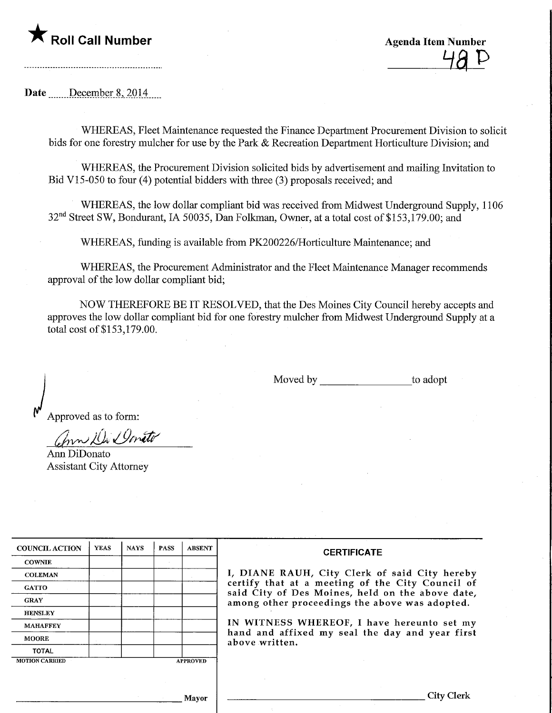## $\mathsf K$  Roll Call Number  $\mathsf A$ genda Item Number

## $48P$

Date December 8, 2014.

WHEREAS, Fleet Maintenance requested the Finance Department Procurement Division to solicit bids for one forestry mulcher for use by the Park & Recreation Department Horticulture Division; and

WHEREAS, the Procurement Division solicited bids by advertisement and mailing Invitation to Bid V15-050 to four (4) potential bidders with three (3) proposals received; and

WHEREAS, the low dollar compliant bid was received from Midwest Underground Supply, 1106 32<sup>nd</sup> Street SW, Bondurant, IA 50035, Dan Folkman, Owner, at a total cost of \$153,179.00; and

WHEREAS, funding is available from PK200226/Horticulture Maintenance; and

WHEREAS, the Procurement Administrator and the Fleet Maintenance Manager recommends approval of the low dollar compliant bid;

NOW THEREFORE BE IT RESOLVED, that the Des Moines City Council hereby accepts and approves the low dollar compliant bid for one forestry mulcher from Midwest Underground Supply at a total cost of \$153,179.00.

Moved by to adopt

Approved as to form:

relled Genetic

Ann DiDonato Assistant City Attorney

| <b>COUNCIL ACTION</b> | <b>YEAS</b> | <b>NAYS</b> | <b>PASS</b>     | <b>ABSENT</b> |
|-----------------------|-------------|-------------|-----------------|---------------|
| <b>COWNIE</b>         |             |             |                 |               |
| <b>COLEMAN</b>        |             |             |                 |               |
| <b>GATTO</b>          |             |             |                 |               |
| <b>GRAY</b>           |             |             |                 |               |
| <b>HENSLEY</b>        |             |             |                 |               |
| <b>MAHAFFEY</b>       |             |             |                 |               |
| <b>MOORE</b>          |             |             |                 |               |
| <b>TOTAL</b>          |             |             |                 |               |
| <b>MOTION CARRIED</b> |             |             | <b>APPROVED</b> |               |

## **CERTIFICATE**

I, DIANE RAUH, City Clerk of said City hereby certify that at a meeting of the City Council of said City of Des Moines, held on the above date, among other proceedings the above was adopted.

IN WITNESS WHEREOF, I have hereunto set my hand and affixed my seal the day and year first above written.

Mayor